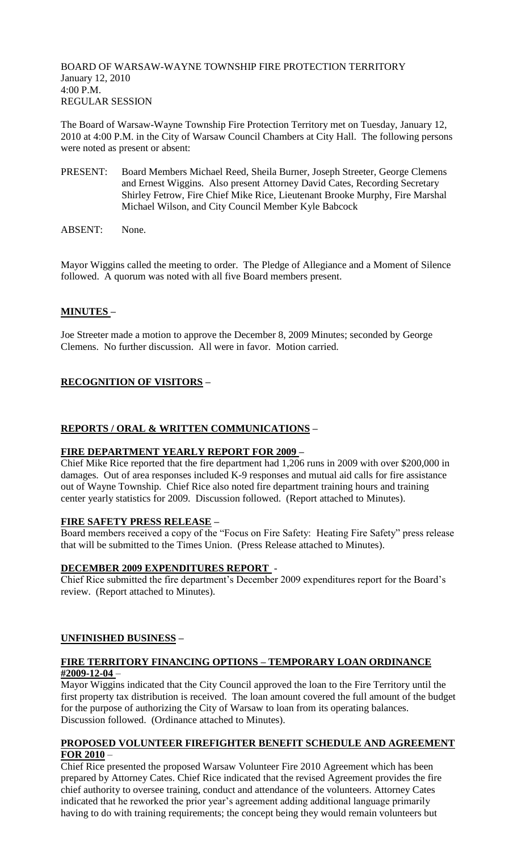BOARD OF WARSAW-WAYNE TOWNSHIP FIRE PROTECTION TERRITORY January 12, 2010 4:00 P.M. REGULAR SESSION

The Board of Warsaw-Wayne Township Fire Protection Territory met on Tuesday, January 12, 2010 at 4:00 P.M. in the City of Warsaw Council Chambers at City Hall. The following persons were noted as present or absent:

- PRESENT: Board Members Michael Reed, Sheila Burner, Joseph Streeter, George Clemens and Ernest Wiggins. Also present Attorney David Cates, Recording Secretary Shirley Fetrow, Fire Chief Mike Rice, Lieutenant Brooke Murphy, Fire Marshal Michael Wilson, and City Council Member Kyle Babcock
- ABSENT: None.

Mayor Wiggins called the meeting to order. The Pledge of Allegiance and a Moment of Silence followed. A quorum was noted with all five Board members present.

## **MINUTES –**

Joe Streeter made a motion to approve the December 8, 2009 Minutes; seconded by George Clemens. No further discussion. All were in favor. Motion carried.

# **RECOGNITION OF VISITORS –**

### **REPORTS / ORAL & WRITTEN COMMUNICATIONS –**

#### **FIRE DEPARTMENT YEARLY REPORT FOR 2009 –**

Chief Mike Rice reported that the fire department had 1,206 runs in 2009 with over \$200,000 in damages. Out of area responses included K-9 responses and mutual aid calls for fire assistance out of Wayne Township. Chief Rice also noted fire department training hours and training center yearly statistics for 2009. Discussion followed. (Report attached to Minutes).

#### **FIRE SAFETY PRESS RELEASE –**

Board members received a copy of the "Focus on Fire Safety: Heating Fire Safety" press release that will be submitted to the Times Union. (Press Release attached to Minutes).

#### **DECEMBER 2009 EXPENDITURES REPORT** -

Chief Rice submitted the fire department's December 2009 expenditures report for the Board's review. (Report attached to Minutes).

#### **UNFINISHED BUSINESS –**

## **FIRE TERRITORY FINANCING OPTIONS – TEMPORARY LOAN ORDINANCE #2009-12-04** –

Mayor Wiggins indicated that the City Council approved the loan to the Fire Territory until the first property tax distribution is received. The loan amount covered the full amount of the budget for the purpose of authorizing the City of Warsaw to loan from its operating balances. Discussion followed. (Ordinance attached to Minutes).

#### **PROPOSED VOLUNTEER FIREFIGHTER BENEFIT SCHEDULE AND AGREEMENT FOR 2010** –

Chief Rice presented the proposed Warsaw Volunteer Fire 2010 Agreement which has been prepared by Attorney Cates. Chief Rice indicated that the revised Agreement provides the fire chief authority to oversee training, conduct and attendance of the volunteers. Attorney Cates indicated that he reworked the prior year's agreement adding additional language primarily having to do with training requirements; the concept being they would remain volunteers but